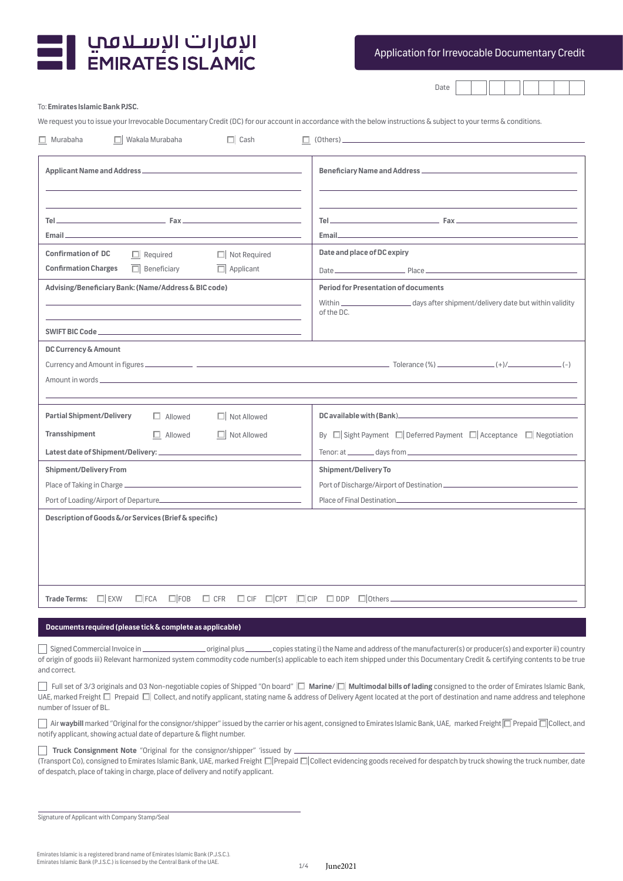

Application for Irrevocable Documentary Credit

Date | | | | | | | | | |

To: **Emirates Islamic Bank PJSC.** 

We request you to issue your Irrevocable Documentary Credit (DC) for our account in accordance with the below instructions & subject to your terms & conditions.

| $\Box$ Murabaha<br>$\Box$ Wakala Murabaha<br>$\Box$ Cash                                                               | $\Box$ (Others).                                                                                                                                                                                 |
|------------------------------------------------------------------------------------------------------------------------|--------------------------------------------------------------------------------------------------------------------------------------------------------------------------------------------------|
|                                                                                                                        |                                                                                                                                                                                                  |
|                                                                                                                        |                                                                                                                                                                                                  |
|                                                                                                                        | $\mathsf{Tel} \hspace{2.5mm} \longrightarrow \hspace{2.5mm} \mathsf{Fax} \hspace{2.5mm} \longrightarrow \hspace{2.5mm} \mathsf{Fax} \hspace{2.5mm} \longrightarrow \hspace{2.5mm} \mathsf{True}$ |
| Email                                                                                                                  |                                                                                                                                                                                                  |
| <b>Confirmation of DC</b><br>$\Box$ Required<br>$\Box$ Not Required                                                    | Date and place of DC expiry                                                                                                                                                                      |
| <b>Confirmation Charges</b><br>$\overline{\Box}$ Applicant<br>$\Box$ Beneficiary                                       |                                                                                                                                                                                                  |
| Advising/Beneficiary Bank: (Name/Address & BIC code)                                                                   | <b>Period for Presentation of documents</b>                                                                                                                                                      |
|                                                                                                                        | days after shipment/delivery date but within validity<br>of the DC.                                                                                                                              |
|                                                                                                                        |                                                                                                                                                                                                  |
| DC Currency & Amount                                                                                                   |                                                                                                                                                                                                  |
|                                                                                                                        |                                                                                                                                                                                                  |
|                                                                                                                        |                                                                                                                                                                                                  |
|                                                                                                                        |                                                                                                                                                                                                  |
| <b>Partial Shipment/Delivery</b><br>$\Box$ Allowed<br>$\Box$ Not Allowed                                               |                                                                                                                                                                                                  |
| Transshipment<br>$\Box$ Allowed<br>$\Box$ Not Allowed                                                                  | By $\Box$ Sight Payment $\Box$ Deferred Payment $\Box$ Acceptance $\Box$ Negotiation                                                                                                             |
|                                                                                                                        |                                                                                                                                                                                                  |
| <b>Shipment/Delivery From</b>                                                                                          | <b>Shipment/Delivery To</b>                                                                                                                                                                      |
|                                                                                                                        |                                                                                                                                                                                                  |
|                                                                                                                        |                                                                                                                                                                                                  |
| Description of Goods &/or Services (Brief & specific)                                                                  |                                                                                                                                                                                                  |
|                                                                                                                        |                                                                                                                                                                                                  |
|                                                                                                                        |                                                                                                                                                                                                  |
|                                                                                                                        |                                                                                                                                                                                                  |
|                                                                                                                        |                                                                                                                                                                                                  |
| $\Box$ CIF $\Box$ CPT $\Box$ CIP $\Box$ DDP<br>$\square$ CFR<br>Trade Terms: $\Box$ EXW<br>$\Box$ FCA<br>$\square$ FOB |                                                                                                                                                                                                  |
|                                                                                                                        |                                                                                                                                                                                                  |

## **Documents required (please tick & complete as applicable)**

 Signed Commercial Invoice in original plus copies stating i) the Name and address of the manufacturer(s) or producer(s) and exporter ii) country of origin of goods iii) Relevant harmonized system commodity code number(s) applicable to each item shipped under this Documentary Credit & certifying contents to be true and correct.

| Full set of 3/3 originals and 03 Non-negotiable copies of Shipped "On board" □ Marine/ □ Multimodal bills of lading consigned to the order of Emirates Islamic Bank,      |
|---------------------------------------------------------------------------------------------------------------------------------------------------------------------------|
| UAE, marked Freight I Prepaid I Collect, and notify applicant, stating name & address of Delivery Agent located at the port of destination and name address and telephone |
| number of Issuer of BL.                                                                                                                                                   |

**△** Air waybill marked "Original for the consignor/shipper" issued by the carrier or his agent, consigned to Emirates Islamic Bank, UAE, marked Freight **□ Prepaid □ Collect**, and notify applicant, showing actual date of departure & flight number.

## **Truck Consignment Note** "Original for the consignor/shipper" 'issued by .

(Transport Co), consigned to Emirates Islamic Bank, UAE, marked Freight  $\square$  Prepaid  $\square$  Collect evidencing goods received for despatch by truck showing the truck number, date of despatch, place of taking in charge, place of delivery and notify applicant.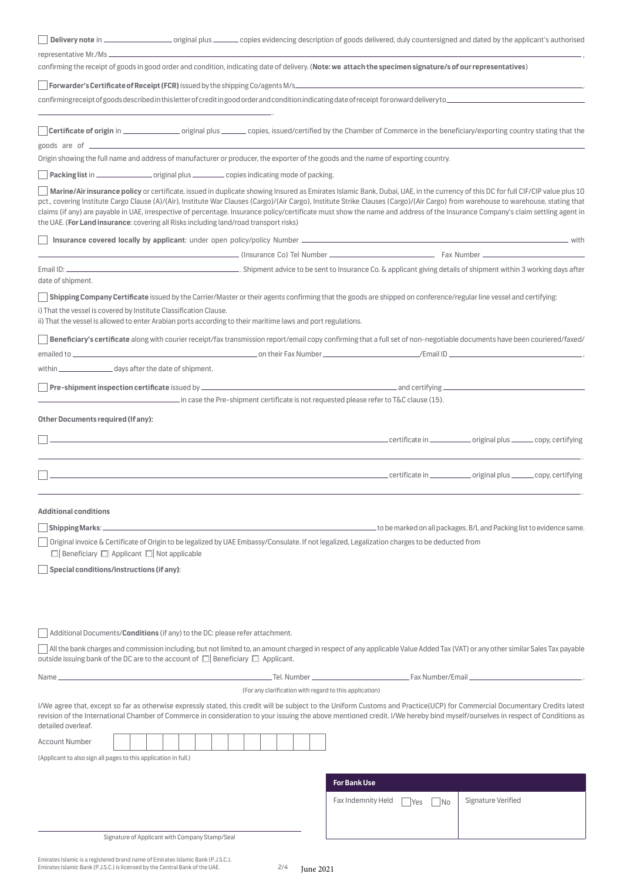| confirming the receipt of goods in good order and condition, indicating date of delivery. (Note: we attach the specimen signature/s of our representatives)                                                                                                                                                                                                                                                                                                                                                                                                                                                                                      |
|--------------------------------------------------------------------------------------------------------------------------------------------------------------------------------------------------------------------------------------------------------------------------------------------------------------------------------------------------------------------------------------------------------------------------------------------------------------------------------------------------------------------------------------------------------------------------------------------------------------------------------------------------|
|                                                                                                                                                                                                                                                                                                                                                                                                                                                                                                                                                                                                                                                  |
|                                                                                                                                                                                                                                                                                                                                                                                                                                                                                                                                                                                                                                                  |
|                                                                                                                                                                                                                                                                                                                                                                                                                                                                                                                                                                                                                                                  |
| Origin showing the full name and address of manufacturer or producer, the exporter of the goods and the name of exporting country.                                                                                                                                                                                                                                                                                                                                                                                                                                                                                                               |
| Packing list in _____________________original plus _____________copies indicating mode of packing.                                                                                                                                                                                                                                                                                                                                                                                                                                                                                                                                               |
| Marine/Air insurance policy or certificate, issued in duplicate showing Insured as Emirates Islamic Bank, Dubai, UAE, in the currency of this DC for full CIF/CIP value plus 10<br>pct., covering Institute Cargo Clause (A)/(Air), Institute War Clauses (Cargo)/(Air Cargo), Institute Strike Clauses (Cargo)/(Air Cargo) from warehouse to warehouse, stating that<br>claims (if any) are payable in UAE, irrespective of percentage. Insurance policy/certificate must show the name and address of the Insurance Company's claim settling agent in<br>the UAE. (For Land insurance: covering all Risks including land/road transport risks) |
|                                                                                                                                                                                                                                                                                                                                                                                                                                                                                                                                                                                                                                                  |
|                                                                                                                                                                                                                                                                                                                                                                                                                                                                                                                                                                                                                                                  |
|                                                                                                                                                                                                                                                                                                                                                                                                                                                                                                                                                                                                                                                  |
| date of shipment.                                                                                                                                                                                                                                                                                                                                                                                                                                                                                                                                                                                                                                |
| Shipping Company Certificate issued by the Carrier/Master or their agents confirming that the goods are shipped on conference/regular line vessel and certifying:                                                                                                                                                                                                                                                                                                                                                                                                                                                                                |
| i) That the vessel is covered by Institute Classification Clause.<br>ii) That the vessel is allowed to enter Arabian ports according to their maritime laws and port regulations.                                                                                                                                                                                                                                                                                                                                                                                                                                                                |
| Beneficiary's certificate along with courier receipt/fax transmission report/email copy confirming that a full set of non-negotiable documents have been couriered/faxed/                                                                                                                                                                                                                                                                                                                                                                                                                                                                        |
|                                                                                                                                                                                                                                                                                                                                                                                                                                                                                                                                                                                                                                                  |
| within ____________________ days after the date of shipment.                                                                                                                                                                                                                                                                                                                                                                                                                                                                                                                                                                                     |
|                                                                                                                                                                                                                                                                                                                                                                                                                                                                                                                                                                                                                                                  |
| in case the Pre-shipment certificate is not requested please refer to T&C clause (15).<br>Other Documents required (If any):                                                                                                                                                                                                                                                                                                                                                                                                                                                                                                                     |
|                                                                                                                                                                                                                                                                                                                                                                                                                                                                                                                                                                                                                                                  |
|                                                                                                                                                                                                                                                                                                                                                                                                                                                                                                                                                                                                                                                  |
|                                                                                                                                                                                                                                                                                                                                                                                                                                                                                                                                                                                                                                                  |
| <b>Additional conditions</b>                                                                                                                                                                                                                                                                                                                                                                                                                                                                                                                                                                                                                     |
| _to be marked on all packages. B/L and Packing list to evidence same.<br>Shipping Marks: _<br>Original invoice & Certificate of Origin to be legalized by UAE Embassy/Consulate. If not legalized, Legalization charges to be deducted from                                                                                                                                                                                                                                                                                                                                                                                                      |
| $\Box$ Beneficiary $\Box$ Applicant $\Box$ Not applicable                                                                                                                                                                                                                                                                                                                                                                                                                                                                                                                                                                                        |
| Special conditions/instructions (if any):                                                                                                                                                                                                                                                                                                                                                                                                                                                                                                                                                                                                        |
|                                                                                                                                                                                                                                                                                                                                                                                                                                                                                                                                                                                                                                                  |
|                                                                                                                                                                                                                                                                                                                                                                                                                                                                                                                                                                                                                                                  |
| Additional Documents/Conditions (if any) to the DC: please refer attachment.                                                                                                                                                                                                                                                                                                                                                                                                                                                                                                                                                                     |
| All the bank charges and commission including, but not limited to, an amount charged in respect of any applicable Value Added Tax (VAT) or any other similar Sales Tax payable<br>outside issuing bank of the DC are to the account of $\Box$ Beneficiary $\Box$ Applicant.                                                                                                                                                                                                                                                                                                                                                                      |
|                                                                                                                                                                                                                                                                                                                                                                                                                                                                                                                                                                                                                                                  |
| <u>and the contract of the contract of the contract of the contract of the contract of the contract of the contract of the contract of the contract of the contract of the contract of the contract of the contract of the contr</u><br>Name ____<br>(For any clarification with regard to this application)                                                                                                                                                                                                                                                                                                                                     |
| I/We agree that, except so far as otherwise expressly stated, this credit will be subject to the Uniform Customs and Practice(UCP) for Commercial Documentary Credits latest<br>revision of the International Chamber of Commerce in consideration to your issuing the above mentioned credit. I/We hereby bind myself/ourselves in respect of Conditions as<br>detailed overleaf.                                                                                                                                                                                                                                                               |
| <b>Account Number</b>                                                                                                                                                                                                                                                                                                                                                                                                                                                                                                                                                                                                                            |
| (Applicant to also sign all pages to this application in full.)                                                                                                                                                                                                                                                                                                                                                                                                                                                                                                                                                                                  |
| <b>For Bank Use</b>                                                                                                                                                                                                                                                                                                                                                                                                                                                                                                                                                                                                                              |
| Signature Verified<br>Fax Indemnity Held<br>Yes<br><b>No</b>                                                                                                                                                                                                                                                                                                                                                                                                                                                                                                                                                                                     |
|                                                                                                                                                                                                                                                                                                                                                                                                                                                                                                                                                                                                                                                  |
| Signature of Applicant with Company Stamp/Seal                                                                                                                                                                                                                                                                                                                                                                                                                                                                                                                                                                                                   |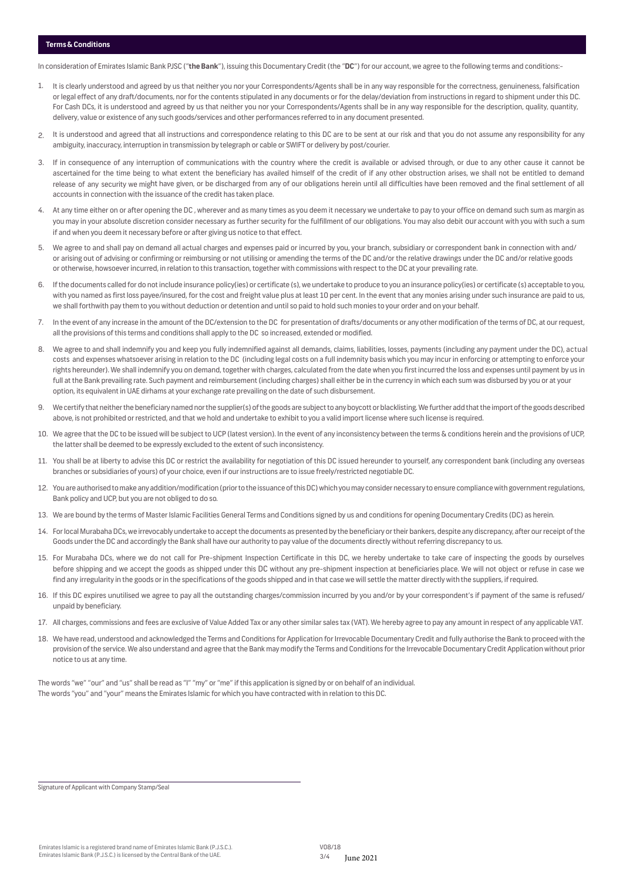## **Terms & Conditions**

In consideration of Emirates Islamic Bank PJSC ("**the Bank**"), issuing this Documentary Credit (the "**DC**") for our account, we agree to the following terms and conditions:-

- 1. It is clearly understood and agreed by us that neither you nor your Correspondents/Agents shall be in any way responsible for the correctness, genuineness, falsification or legal effect of any draft/documents, nor for the contents stipulated in any documents or for the delay/deviation from instructions in regard to shipment under this DC. For Cash DCs, it is understood and agreed by us that neither you nor your Correspondents/Agents shall be in any way responsible for the description, quality, quantity, delivery, value or existence of any such goods/services and other performances referred to in any document presented.
- 2. It is understood and agreed that all instructions and correspondence relating to this DC are to be sent at our risk and that you do not assume any responsibility for any ambiguity, inaccuracy, interruption in transmission by telegraph or cable or SWIFT or delivery by post/courier.
- 3. If in consequence of any interruption of communications with the country where the credit is available or advised through, or due to any other cause it cannot be ascertained for the time being to what extent the beneficiary has availed himself of the credit of if any other obstruction arises, we shall not be entitled to demand release of any security we might have given, or be discharged from any of our obligations herein until all difficulties have been removed and the final settlement of all accounts in connection with the issuance of the credit has taken place.
- 4. At any time either on or after opening the DC , wherever and as many times as you deem it necessary we undertake to pay to your office on demand such sum as margin as you may in your absolute discretion consider necessary as further security for the fulfillment of our obligations. You may also debit our account with you with such a sum if and when you deem it necessary before or after giving us notice to that effect.
- 5. We agree to and shall pay on demand all actual charges and expenses paid or incurred by you, your branch, subsidiary or correspondent bank in connection with and/ or arising out of advising or confirming or reimbursing or not utilising or amending the terms of the DC and/or the relative drawings under the DC and/or relative goods or otherwise, howsoever incurred, in relation to this transaction, together with commissions with respect to the DC at your prevailing rate.
- 6. If the documents called for do not include insurance policy(ies) or certificate (s), we undertake to produce to you an insurance policy(ies) or certificate (s) acceptable to you, with you named as first loss payee/insured, for the cost and freight value plus at least 10 per cent. In the event that any monies arising under such insurance are paid to us, we shall forthwith pay them to you without deduction or detention and until so paid to hold such monies to your order and on your behalf.
- 7. In the event of any increase in the amount of the DC/extension to the DC for presentation of drafts/documents or any other modification of the terms of DC, at our request, all the provisions of this terms and conditions shall apply to the DC so increased, extended or modified.
- 8. We agree to and shall indemnify you and keep you fully indemnified against all demands, claims, liabilities, losses, payments (including any payment under the DC), actual costs and expenses whatsoever arising in relation to the DC (including legal costs on a full indemnity basis which you may incur in enforcing or attempting to enforce your rights hereunder). We shall indemnify you on demand, together with charges, calculated from the date when you first incurred the loss and expenses until payment by us in full at the Bank prevailing rate. Such payment and reimbursement (including charges) shall either be in the currency in which each sum was disbursed by you or at your option, its equivalent in UAE dirhams at your exchange rate prevailing on the date of such disbursement.
- 9. We certify that neither the beneficiary named nor the supplier(s) of the goods are subject to any boycott or blacklisting. We further add that the import of the goods described above, is not prohibited or restricted, and that we hold and undertake to exhibit to you a valid import license where such license is required.
- 10. We agree that the DC to be issued will be subject to UCP (latest version). In the event of any inconsistency between the terms & conditions herein and the provisions of UCP, the latter shall be deemed to be expressly excluded to the extent of such inconsistency.
- 11. You shall be at liberty to advise this DC or restrict the availability for negotiation of this DC issued hereunder to yourself, any correspondent bank (including any overseas branches or subsidiaries of yours) of your choice, even if our instructions are to issue freely/restricted negotiable DC.
- 12. You are authorised to make any addition/modification (prior to the issuance of this DC) which you may consider necessary to ensure compliance with government regulations, Bank policy and UCP, but you are not obliged to do so.
- 13. We are bound by the terms of Master Islamic Facilities General Terms and Conditions signed by us and conditions for opening Documentary Credits (DC) as herein.
- 14. For local Murabaha DCs, we irrevocably undertake to accept the documents as presented by the beneficiary or their bankers, despite any discrepancy, after our receipt of the Goods under the DC and accordingly the Bank shall have our authority to pay value of the documents directly without referring discrepancy to us.
- 15. For Murabaha DCs, where we do not call for Pre-shipment Inspection Certificate in this DC, we hereby undertake to take care of inspecting the goods by ourselves before shipping and we accept the goods as shipped under this DC without any pre-shipment inspection at beneficiaries place. We will not object or refuse in case we find any irregularity in the goods or in the specifications of the goods shipped and in that case we will settle the matter directly with the suppliers, if required.
- 16. If this DC expires unutilised we agree to pay all the outstanding charges/commission incurred by you and/or by your correspondent's if payment of the same is refused/ unpaid by beneficiary.
- 17. All charges, commissions and fees are exclusive of Value Added Tax or any other similar sales tax (VAT). We hereby agree to pay any amount in respect of any applicable VAT.
- 18. We have read, understood and acknowledged the Terms and Conditions for Application for Irrevocable Documentary Credit and fully authorise the Bank to proceed with the provision of the service. We also understand and agree that the Bank may modify the Terms and Conditions for the Irrevocable Documentary Credit Application without prior notice to us at any time.

The words "we" "our" and "us" shall be read as "I" "my" or "me" if this application is signed by or on behalf of an individual. The words "you" and "your" means the Emirates Islamic for which you have contracted with in relation to this DC.

Signature of Applicant with Company Stamp/Seal